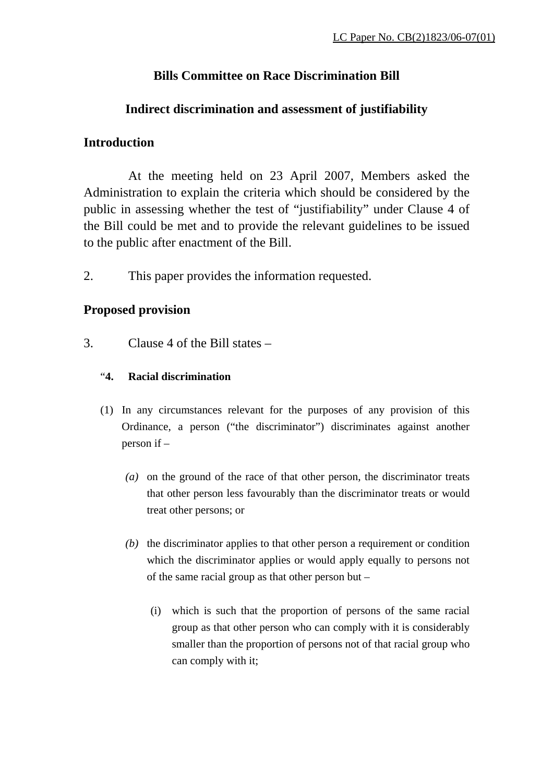### **Bills Committee on Race Discrimination Bill**

#### **Indirect discrimination and assessment of justifiability**

#### **Introduction**

 At the meeting held on 23 April 2007, Members asked the Administration to explain the criteria which should be considered by the public in assessing whether the test of "justifiability" under Clause 4 of the Bill could be met and to provide the relevant guidelines to be issued to the public after enactment of the Bill.

2. This paper provides the information requested.

#### **Proposed provision**

3. Clause 4 of the Bill states –

#### "**4. Racial discrimination**

- (1) In any circumstances relevant for the purposes of any provision of this Ordinance, a person ("the discriminator") discriminates against another person if –
	- *(a)* on the ground of the race of that other person, the discriminator treats that other person less favourably than the discriminator treats or would treat other persons; or
	- *(b)* the discriminator applies to that other person a requirement or condition which the discriminator applies or would apply equally to persons not of the same racial group as that other person but –
		- (i) which is such that the proportion of persons of the same racial group as that other person who can comply with it is considerably smaller than the proportion of persons not of that racial group who can comply with it;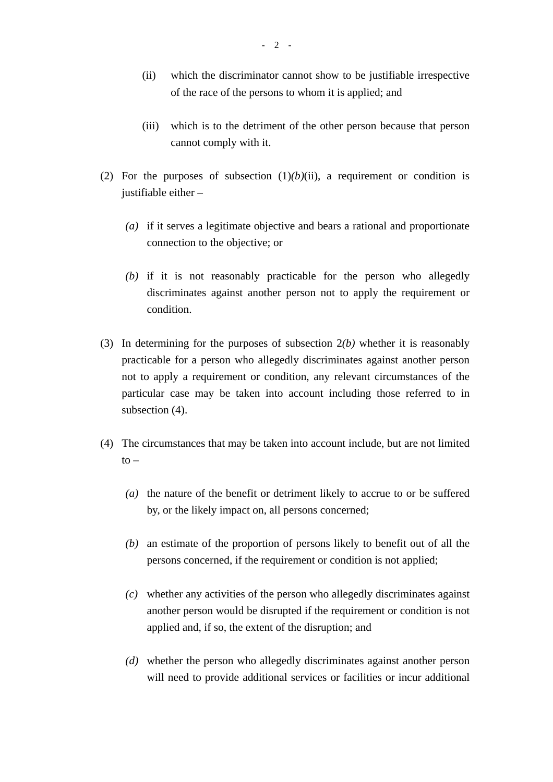- (ii) which the discriminator cannot show to be justifiable irrespective of the race of the persons to whom it is applied; and
- (iii) which is to the detriment of the other person because that person cannot comply with it.
- (2) For the purposes of subsection  $(1)(b)(ii)$ , a requirement or condition is justifiable either –
	- *(a)* if it serves a legitimate objective and bears a rational and proportionate connection to the objective; or
	- *(b)* if it is not reasonably practicable for the person who allegedly discriminates against another person not to apply the requirement or condition.
- (3) In determining for the purposes of subsection 2*(b)* whether it is reasonably practicable for a person who allegedly discriminates against another person not to apply a requirement or condition, any relevant circumstances of the particular case may be taken into account including those referred to in subsection (4).
- (4) The circumstances that may be taken into account include, but are not limited  $to -$ 
	- *(a)* the nature of the benefit or detriment likely to accrue to or be suffered by, or the likely impact on, all persons concerned;
	- *(b)* an estimate of the proportion of persons likely to benefit out of all the persons concerned, if the requirement or condition is not applied;
	- *(c)* whether any activities of the person who allegedly discriminates against another person would be disrupted if the requirement or condition is not applied and, if so, the extent of the disruption; and
	- *(d)* whether the person who allegedly discriminates against another person will need to provide additional services or facilities or incur additional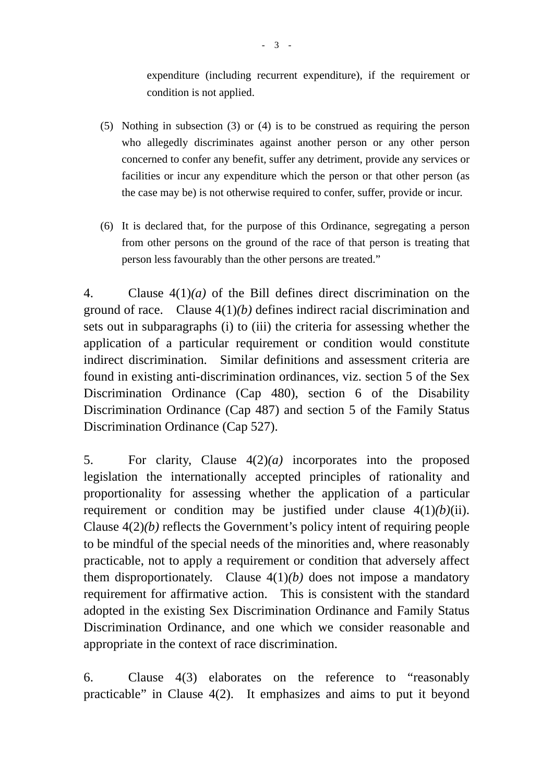expenditure (including recurrent expenditure), if the requirement or condition is not applied.

- (5) Nothing in subsection (3) or (4) is to be construed as requiring the person who allegedly discriminates against another person or any other person concerned to confer any benefit, suffer any detriment, provide any services or facilities or incur any expenditure which the person or that other person (as the case may be) is not otherwise required to confer, suffer, provide or incur.
- (6) It is declared that, for the purpose of this Ordinance, segregating a person from other persons on the ground of the race of that person is treating that person less favourably than the other persons are treated."

4. Clause 4(1)*(a)* of the Bill defines direct discrimination on the ground of race. Clause 4(1)*(b)* defines indirect racial discrimination and sets out in subparagraphs (i) to (iii) the criteria for assessing whether the application of a particular requirement or condition would constitute indirect discrimination. Similar definitions and assessment criteria are found in existing anti-discrimination ordinances, viz. section 5 of the Sex Discrimination Ordinance (Cap 480), section 6 of the Disability Discrimination Ordinance (Cap 487) and section 5 of the Family Status Discrimination Ordinance (Cap 527).

5. For clarity, Clause 4(2)*(a)* incorporates into the proposed legislation the internationally accepted principles of rationality and proportionality for assessing whether the application of a particular requirement or condition may be justified under clause 4(1)*(b)*(ii). Clause 4(2)*(b)* reflects the Government's policy intent of requiring people to be mindful of the special needs of the minorities and, where reasonably practicable, not to apply a requirement or condition that adversely affect them disproportionately. Clause  $4(1)(b)$  does not impose a mandatory requirement for affirmative action. This is consistent with the standard adopted in the existing Sex Discrimination Ordinance and Family Status Discrimination Ordinance, and one which we consider reasonable and appropriate in the context of race discrimination.

6. Clause 4(3) elaborates on the reference to "reasonably practicable" in Clause 4(2). It emphasizes and aims to put it beyond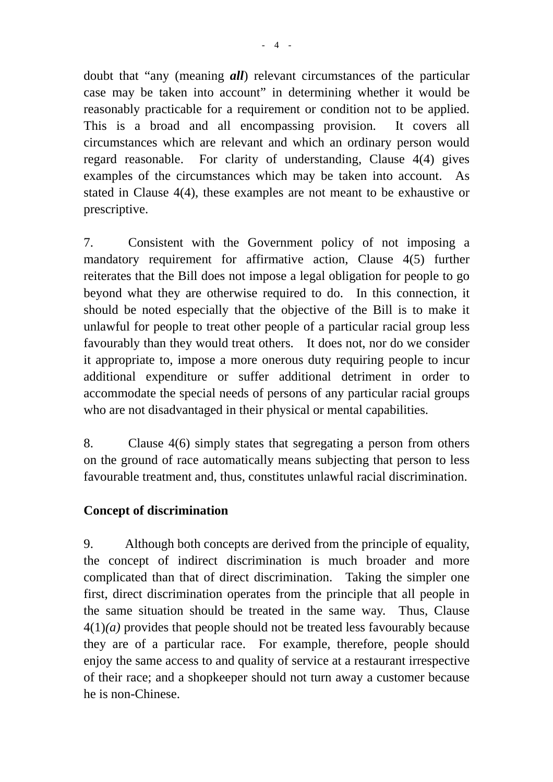doubt that "any (meaning *all*) relevant circumstances of the particular case may be taken into account" in determining whether it would be reasonably practicable for a requirement or condition not to be applied. This is a broad and all encompassing provision. It covers all circumstances which are relevant and which an ordinary person would regard reasonable. For clarity of understanding, Clause 4(4) gives examples of the circumstances which may be taken into account. As stated in Clause 4(4), these examples are not meant to be exhaustive or prescriptive.

7. Consistent with the Government policy of not imposing a mandatory requirement for affirmative action, Clause 4(5) further reiterates that the Bill does not impose a legal obligation for people to go beyond what they are otherwise required to do. In this connection, it should be noted especially that the objective of the Bill is to make it unlawful for people to treat other people of a particular racial group less favourably than they would treat others. It does not, nor do we consider it appropriate to, impose a more onerous duty requiring people to incur additional expenditure or suffer additional detriment in order to accommodate the special needs of persons of any particular racial groups who are not disadvantaged in their physical or mental capabilities.

8. Clause 4(6) simply states that segregating a person from others on the ground of race automatically means subjecting that person to less favourable treatment and, thus, constitutes unlawful racial discrimination.

### **Concept of discrimination**

9. Although both concepts are derived from the principle of equality, the concept of indirect discrimination is much broader and more complicated than that of direct discrimination. Taking the simpler one first, direct discrimination operates from the principle that all people in the same situation should be treated in the same way. Thus, Clause 4(1)*(a)* provides that people should not be treated less favourably because they are of a particular race. For example, therefore, people should enjoy the same access to and quality of service at a restaurant irrespective of their race; and a shopkeeper should not turn away a customer because he is non-Chinese.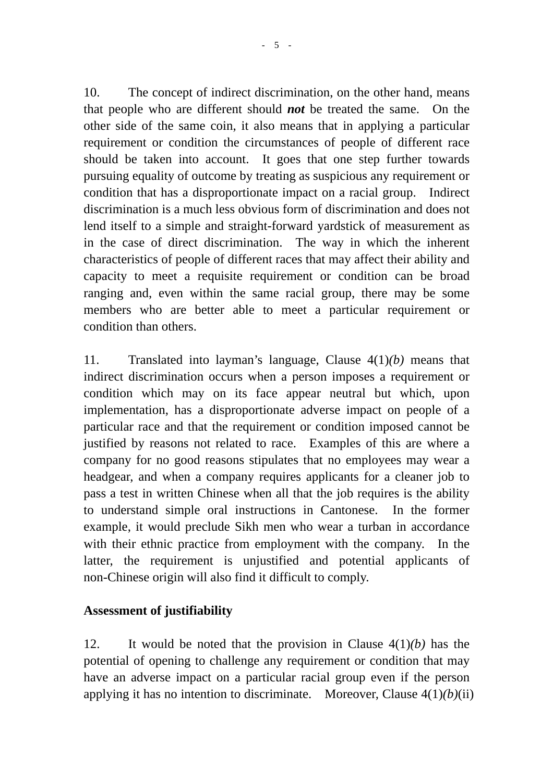10. The concept of indirect discrimination, on the other hand, means that people who are different should *not* be treated the same. On the other side of the same coin, it also means that in applying a particular requirement or condition the circumstances of people of different race should be taken into account. It goes that one step further towards pursuing equality of outcome by treating as suspicious any requirement or condition that has a disproportionate impact on a racial group. Indirect discrimination is a much less obvious form of discrimination and does not lend itself to a simple and straight-forward yardstick of measurement as in the case of direct discrimination. The way in which the inherent characteristics of people of different races that may affect their ability and capacity to meet a requisite requirement or condition can be broad ranging and, even within the same racial group, there may be some members who are better able to meet a particular requirement or condition than others.

11. Translated into layman's language, Clause 4(1)*(b)* means that indirect discrimination occurs when a person imposes a requirement or condition which may on its face appear neutral but which, upon implementation, has a disproportionate adverse impact on people of a particular race and that the requirement or condition imposed cannot be justified by reasons not related to race. Examples of this are where a company for no good reasons stipulates that no employees may wear a headgear, and when a company requires applicants for a cleaner job to pass a test in written Chinese when all that the job requires is the ability to understand simple oral instructions in Cantonese. In the former example, it would preclude Sikh men who wear a turban in accordance with their ethnic practice from employment with the company. In the latter, the requirement is unjustified and potential applicants of non-Chinese origin will also find it difficult to comply.

### **Assessment of justifiability**

12. It would be noted that the provision in Clause 4(1)*(b)* has the potential of opening to challenge any requirement or condition that may have an adverse impact on a particular racial group even if the person applying it has no intention to discriminate. Moreover, Clause 4(1)*(b)*(ii)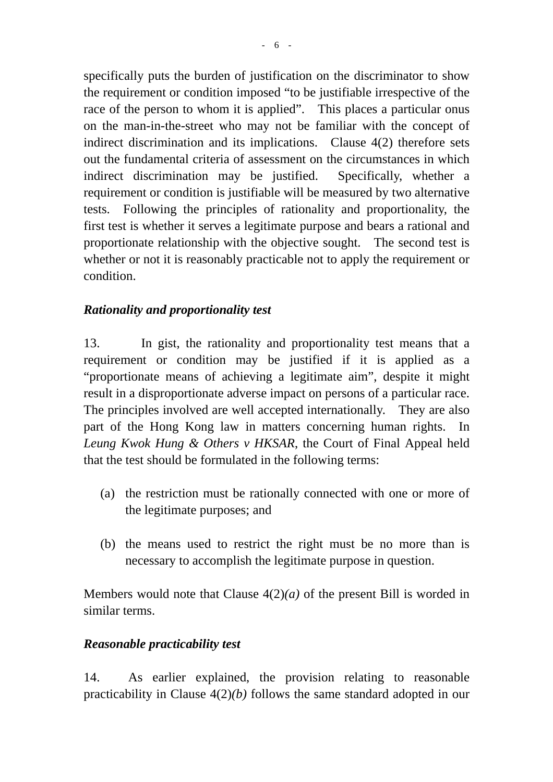specifically puts the burden of justification on the discriminator to show the requirement or condition imposed "to be justifiable irrespective of the race of the person to whom it is applied". This places a particular onus on the man-in-the-street who may not be familiar with the concept of indirect discrimination and its implications. Clause 4(2) therefore sets out the fundamental criteria of assessment on the circumstances in which indirect discrimination may be justified. Specifically, whether a requirement or condition is justifiable will be measured by two alternative tests. Following the principles of rationality and proportionality, the first test is whether it serves a legitimate purpose and bears a rational and proportionate relationship with the objective sought. The second test is whether or not it is reasonably practicable not to apply the requirement or condition.

### *Rationality and proportionality test*

13. In gist, the rationality and proportionality test means that a requirement or condition may be justified if it is applied as a "proportionate means of achieving a legitimate aim", despite it might result in a disproportionate adverse impact on persons of a particular race. The principles involved are well accepted internationally. They are also part of the Hong Kong law in matters concerning human rights. In *Leung Kwok Hung & Others v HKSAR*, the Court of Final Appeal held that the test should be formulated in the following terms:

- (a) the restriction must be rationally connected with one or more of the legitimate purposes; and
- (b) the means used to restrict the right must be no more than is necessary to accomplish the legitimate purpose in question.

Members would note that Clause 4(2)*(a)* of the present Bill is worded in similar terms.

## *Reasonable practicability test*

14. As earlier explained, the provision relating to reasonable practicability in Clause 4(2)*(b)* follows the same standard adopted in our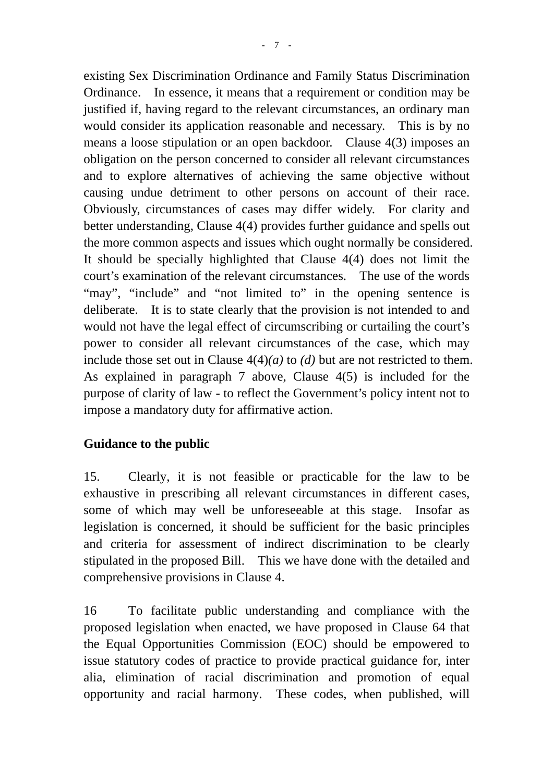existing Sex Discrimination Ordinance and Family Status Discrimination Ordinance. In essence, it means that a requirement or condition may be justified if, having regard to the relevant circumstances, an ordinary man would consider its application reasonable and necessary. This is by no means a loose stipulation or an open backdoor. Clause 4(3) imposes an obligation on the person concerned to consider all relevant circumstances and to explore alternatives of achieving the same objective without causing undue detriment to other persons on account of their race. Obviously, circumstances of cases may differ widely. For clarity and better understanding, Clause 4(4) provides further guidance and spells out the more common aspects and issues which ought normally be considered. It should be specially highlighted that Clause 4(4) does not limit the court's examination of the relevant circumstances. The use of the words "may", "include" and "not limited to" in the opening sentence is deliberate. It is to state clearly that the provision is not intended to and would not have the legal effect of circumscribing or curtailing the court's power to consider all relevant circumstances of the case, which may include those set out in Clause 4(4)*(a)* to *(d)* but are not restricted to them. As explained in paragraph 7 above, Clause 4(5) is included for the purpose of clarity of law - to reflect the Government's policy intent not to impose a mandatory duty for affirmative action.

# **Guidance to the public**

15. Clearly, it is not feasible or practicable for the law to be exhaustive in prescribing all relevant circumstances in different cases, some of which may well be unforeseeable at this stage. Insofar as legislation is concerned, it should be sufficient for the basic principles and criteria for assessment of indirect discrimination to be clearly stipulated in the proposed Bill. This we have done with the detailed and comprehensive provisions in Clause 4.

16 To facilitate public understanding and compliance with the proposed legislation when enacted, we have proposed in Clause 64 that the Equal Opportunities Commission (EOC) should be empowered to issue statutory codes of practice to provide practical guidance for, inter alia, elimination of racial discrimination and promotion of equal opportunity and racial harmony. These codes, when published, will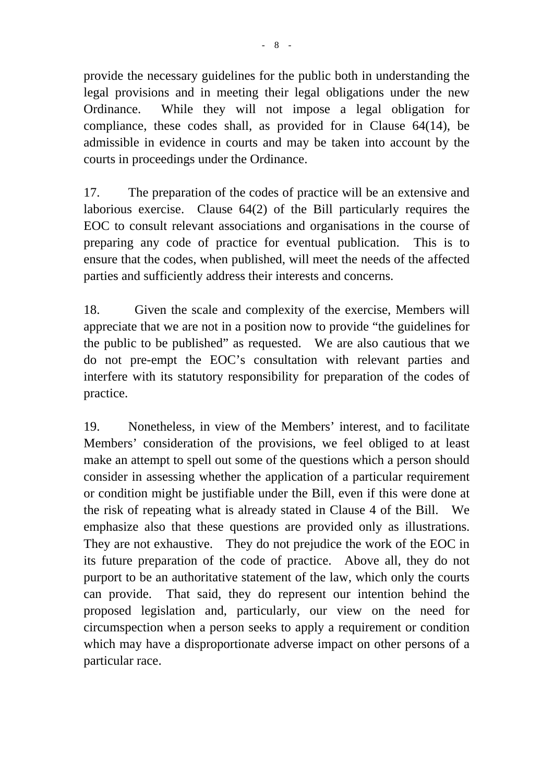provide the necessary guidelines for the public both in understanding the legal provisions and in meeting their legal obligations under the new Ordinance. While they will not impose a legal obligation for compliance, these codes shall, as provided for in Clause 64(14), be admissible in evidence in courts and may be taken into account by the courts in proceedings under the Ordinance.

17. The preparation of the codes of practice will be an extensive and laborious exercise. Clause 64(2) of the Bill particularly requires the EOC to consult relevant associations and organisations in the course of preparing any code of practice for eventual publication. This is to ensure that the codes, when published, will meet the needs of the affected parties and sufficiently address their interests and concerns.

18. Given the scale and complexity of the exercise, Members will appreciate that we are not in a position now to provide "the guidelines for the public to be published" as requested. We are also cautious that we do not pre-empt the EOC's consultation with relevant parties and interfere with its statutory responsibility for preparation of the codes of practice.

19. Nonetheless, in view of the Members' interest, and to facilitate Members' consideration of the provisions, we feel obliged to at least make an attempt to spell out some of the questions which a person should consider in assessing whether the application of a particular requirement or condition might be justifiable under the Bill, even if this were done at the risk of repeating what is already stated in Clause 4 of the Bill. We emphasize also that these questions are provided only as illustrations. They are not exhaustive. They do not prejudice the work of the EOC in its future preparation of the code of practice. Above all, they do not purport to be an authoritative statement of the law, which only the courts can provide. That said, they do represent our intention behind the proposed legislation and, particularly, our view on the need for circumspection when a person seeks to apply a requirement or condition which may have a disproportionate adverse impact on other persons of a particular race.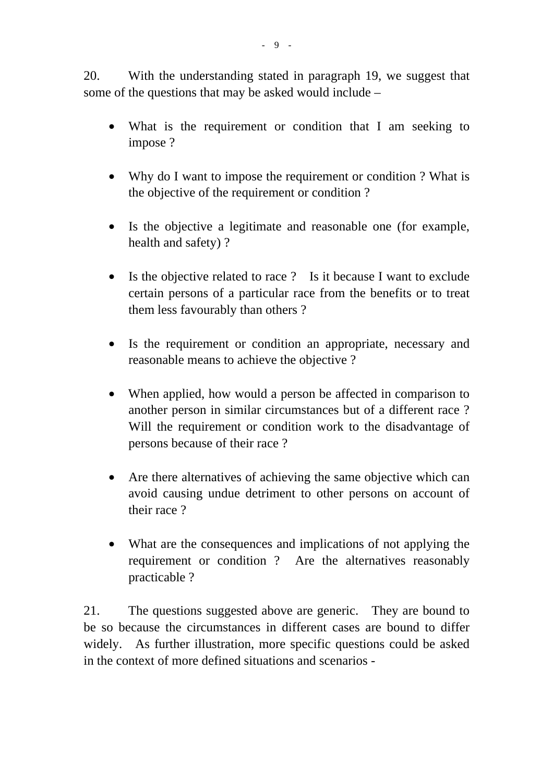20. With the understanding stated in paragraph 19, we suggest that some of the questions that may be asked would include –

- What is the requirement or condition that I am seeking to impose ?
- Why do I want to impose the requirement or condition ? What is the objective of the requirement or condition ?
- Is the objective a legitimate and reasonable one (for example, health and safety) ?
- Is the objective related to race ? Is it because I want to exclude certain persons of a particular race from the benefits or to treat them less favourably than others ?
- Is the requirement or condition an appropriate, necessary and reasonable means to achieve the objective ?
- When applied, how would a person be affected in comparison to another person in similar circumstances but of a different race ? Will the requirement or condition work to the disadvantage of persons because of their race ?
- Are there alternatives of achieving the same objective which can avoid causing undue detriment to other persons on account of their race ?
- What are the consequences and implications of not applying the requirement or condition ? Are the alternatives reasonably practicable ?

21. The questions suggested above are generic. They are bound to be so because the circumstances in different cases are bound to differ widely. As further illustration, more specific questions could be asked in the context of more defined situations and scenarios -